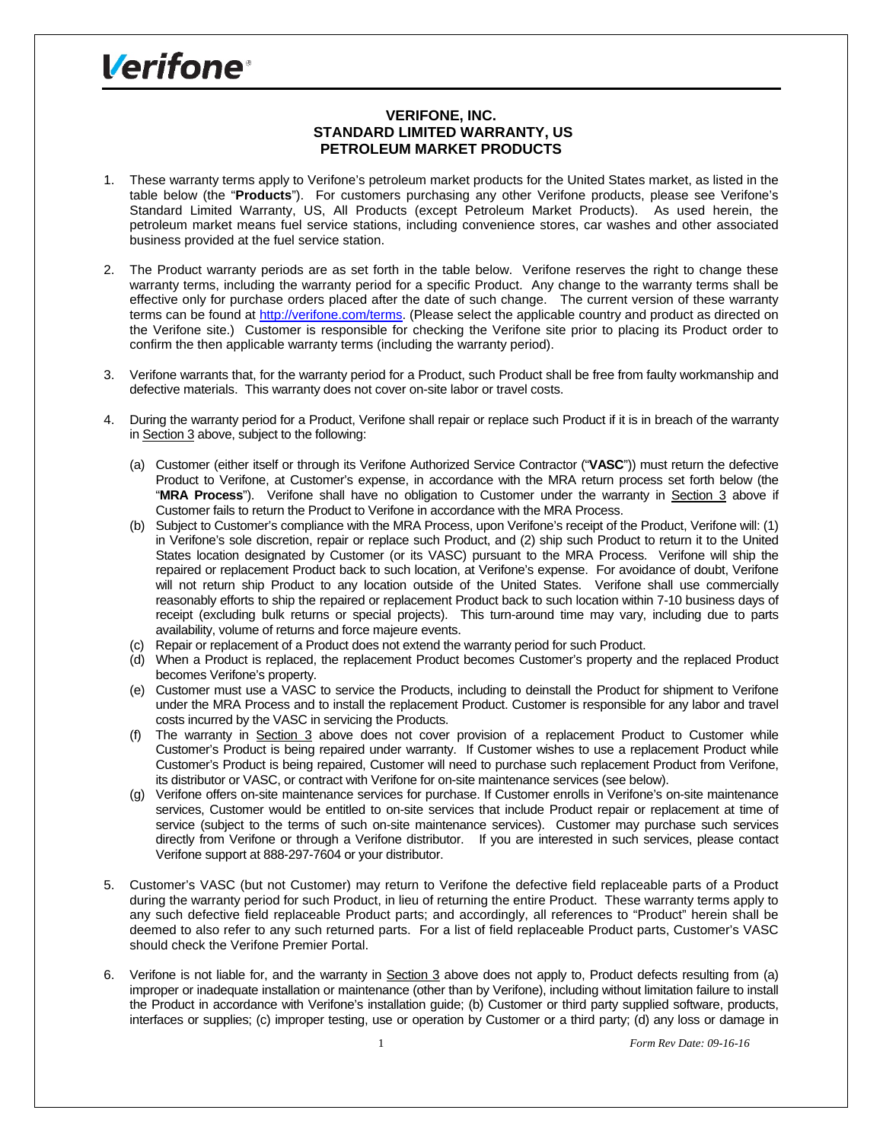## **Verifone**<sup>®</sup>

## **VERIFONE, INC. STANDARD LIMITED WARRANTY, US PETROLEUM MARKET PRODUCTS**

- 1. These warranty terms apply to Verifone's petroleum market products for the United States market, as listed in the table below (the "**Products**"). For customers purchasing any other Verifone products, please see Verifone's Standard Limited Warranty, US, All Products (except Petroleum Market Products). As used herein, the petroleum market means fuel service stations, including convenience stores, car washes and other associated business provided at the fuel service station.
- 2. The Product warranty periods are as set forth in the table below. Verifone reserves the right to change these warranty terms, including the warranty period for a specific Product. Any change to the warranty terms shall be effective only for purchase orders placed after the date of such change. The current version of these warranty terms can be found at http://verifone.com/terms. (Please select the applicable country and product as directed on the Verifone site.) Customer is responsible for checking the Verifone site prior to placing its Product order to confirm the then applicable warranty terms (including the warranty period).
- 3. Verifone warrants that, for the warranty period for a Product, such Product shall be free from faulty workmanship and defective materials. This warranty does not cover on-site labor or travel costs.
- 4. During the warranty period for a Product, Verifone shall repair or replace such Product if it is in breach of the warranty in Section 3 above, subject to the following:
	- (a) Customer (either itself or through its Verifone Authorized Service Contractor ("**VASC**")) must return the defective Product to Verifone, at Customer's expense, in accordance with the MRA return process set forth below (the "**MRA Process**"). Verifone shall have no obligation to Customer under the warranty in Section 3 above if Customer fails to return the Product to Verifone in accordance with the MRA Process.
	- (b) Subject to Customer's compliance with the MRA Process, upon Verifone's receipt of the Product, Verifone will: (1) in Verifone's sole discretion, repair or replace such Product, and (2) ship such Product to return it to the United States location designated by Customer (or its VASC) pursuant to the MRA Process. Verifone will ship the repaired or replacement Product back to such location, at Verifone's expense. For avoidance of doubt, Verifone will not return ship Product to any location outside of the United States. Verifone shall use commercially reasonably efforts to ship the repaired or replacement Product back to such location within 7-10 business days of receipt (excluding bulk returns or special projects). This turn-around time may vary, including due to parts availability, volume of returns and force majeure events.
	- (c) Repair or replacement of a Product does not extend the warranty period for such Product.
	- (d) When a Product is replaced, the replacement Product becomes Customer's property and the replaced Product becomes Verifone's property.
	- (e) Customer must use a VASC to service the Products, including to deinstall the Product for shipment to Verifone under the MRA Process and to install the replacement Product. Customer is responsible for any labor and travel costs incurred by the VASC in servicing the Products.
	- (f) The warranty in Section 3 above does not cover provision of a replacement Product to Customer while Customer's Product is being repaired under warranty. If Customer wishes to use a replacement Product while Customer's Product is being repaired, Customer will need to purchase such replacement Product from Verifone, its distributor or VASC, or contract with Verifone for on-site maintenance services (see below).
	- (g) Verifone offers on-site maintenance services for purchase. If Customer enrolls in Verifone's on-site maintenance services, Customer would be entitled to on-site services that include Product repair or replacement at time of service (subject to the terms of such on-site maintenance services). Customer may purchase such services directly from Verifone or through a Verifone distributor. If you are interested in such services, please contact Verifone support at 888-297-7604 or your distributor.
- 5. Customer's VASC (but not Customer) may return to Verifone the defective field replaceable parts of a Product during the warranty period for such Product, in lieu of returning the entire Product. These warranty terms apply to any such defective field replaceable Product parts; and accordingly, all references to "Product" herein shall be deemed to also refer to any such returned parts. For a list of field replaceable Product parts, Customer's VASC should check the Verifone Premier Portal.
- 6. Verifone is not liable for, and the warranty in Section 3 above does not apply to, Product defects resulting from (a) improper or inadequate installation or maintenance (other than by Verifone), including without limitation failure to install the Product in accordance with Verifone's installation guide; (b) Customer or third party supplied software, products, interfaces or supplies; (c) improper testing, use or operation by Customer or a third party; (d) any loss or damage in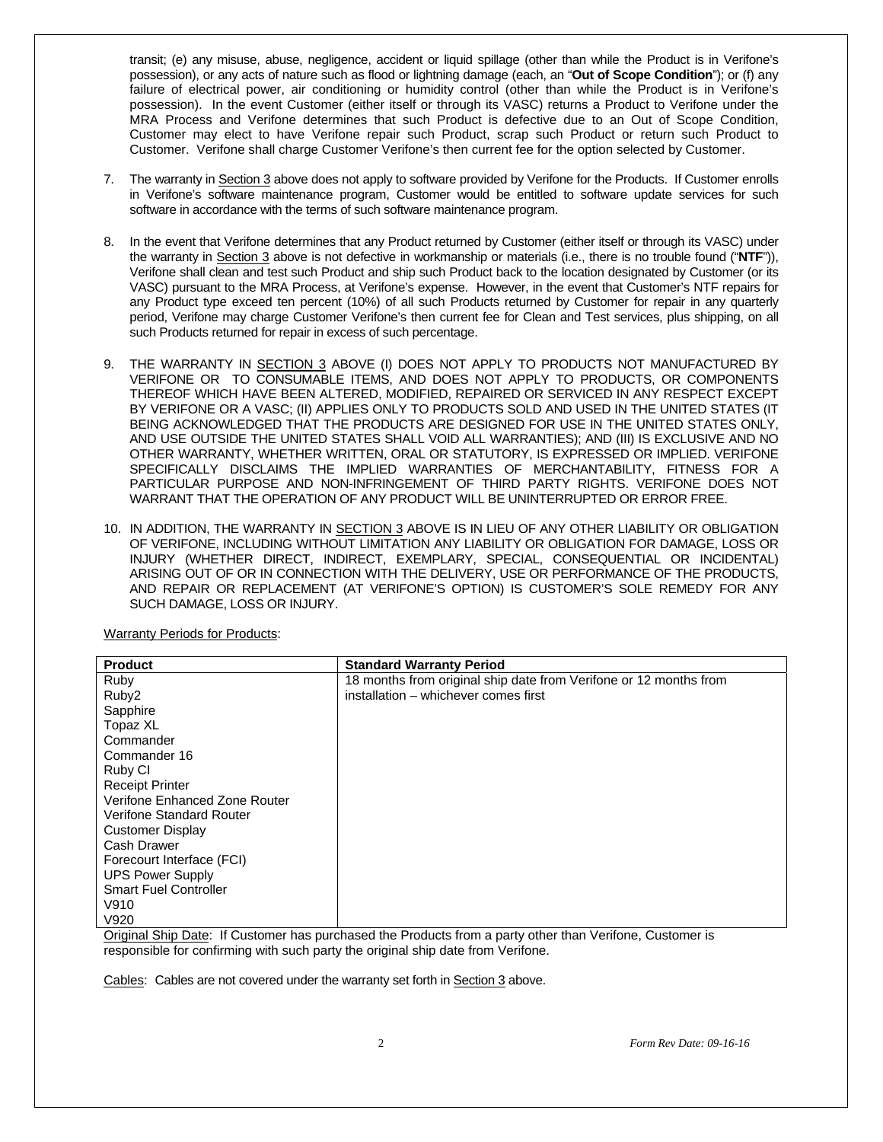transit; (e) any misuse, abuse, negligence, accident or liquid spillage (other than while the Product is in Verifone's possession), or any acts of nature such as flood or lightning damage (each, an "**Out of Scope Condition**"); or (f) any failure of electrical power, air conditioning or humidity control (other than while the Product is in Verifone's possession). In the event Customer (either itself or through its VASC) returns a Product to Verifone under the MRA Process and Verifone determines that such Product is defective due to an Out of Scope Condition, Customer may elect to have Verifone repair such Product, scrap such Product or return such Product to Customer. Verifone shall charge Customer Verifone's then current fee for the option selected by Customer.

- 7. The warranty in Section 3 above does not apply to software provided by Verifone for the Products. If Customer enrolls in Verifone's software maintenance program, Customer would be entitled to software update services for such software in accordance with the terms of such software maintenance program.
- 8. In the event that Verifone determines that any Product returned by Customer (either itself or through its VASC) under the warranty in Section 3 above is not defective in workmanship or materials (i.e., there is no trouble found ("**NTF**")), Verifone shall clean and test such Product and ship such Product back to the location designated by Customer (or its VASC) pursuant to the MRA Process, at Verifone's expense. However, in the event that Customer's NTF repairs for any Product type exceed ten percent (10%) of all such Products returned by Customer for repair in any quarterly period, Verifone may charge Customer Verifone's then current fee for Clean and Test services, plus shipping, on all such Products returned for repair in excess of such percentage.
- 9. THE WARRANTY IN SECTION 3 ABOVE (I) DOES NOT APPLY TO PRODUCTS NOT MANUFACTURED BY VERIFONE OR TO CONSUMABLE ITEMS, AND DOES NOT APPLY TO PRODUCTS, OR COMPONENTS THEREOF WHICH HAVE BEEN ALTERED, MODIFIED, REPAIRED OR SERVICED IN ANY RESPECT EXCEPT BY VERIFONE OR A VASC; (II) APPLIES ONLY TO PRODUCTS SOLD AND USED IN THE UNITED STATES (IT BEING ACKNOWLEDGED THAT THE PRODUCTS ARE DESIGNED FOR USE IN THE UNITED STATES ONLY, AND USE OUTSIDE THE UNITED STATES SHALL VOID ALL WARRANTIES); AND (III) IS EXCLUSIVE AND NO OTHER WARRANTY, WHETHER WRITTEN, ORAL OR STATUTORY, IS EXPRESSED OR IMPLIED. VERIFONE SPECIFICALLY DISCLAIMS THE IMPLIED WARRANTIES OF MERCHANTABILITY, FITNESS FOR A PARTICULAR PURPOSE AND NON-INFRINGEMENT OF THIRD PARTY RIGHTS. VERIFONE DOES NOT WARRANT THAT THE OPERATION OF ANY PRODUCT WILL BE UNINTERRUPTED OR ERROR FREE.
- 10. IN ADDITION, THE WARRANTY IN SECTION 3 ABOVE IS IN LIEU OF ANY OTHER LIABILITY OR OBLIGATION OF VERIFONE, INCLUDING WITHOUT LIMITATION ANY LIABILITY OR OBLIGATION FOR DAMAGE, LOSS OR INJURY (WHETHER DIRECT, INDIRECT, EXEMPLARY, SPECIAL, CONSEQUENTIAL OR INCIDENTAL) ARISING OUT OF OR IN CONNECTION WITH THE DELIVERY, USE OR PERFORMANCE OF THE PRODUCTS, AND REPAIR OR REPLACEMENT (AT VERIFONE'S OPTION) IS CUSTOMER'S SOLE REMEDY FOR ANY SUCH DAMAGE, LOSS OR INJURY.

| <b>Product</b>                | <b>Standard Warranty Period</b>                                   |
|-------------------------------|-------------------------------------------------------------------|
| Ruby                          | 18 months from original ship date from Verifone or 12 months from |
| Ruby <sub>2</sub>             | installation - whichever comes first                              |
| Sapphire                      |                                                                   |
| Topaz XL                      |                                                                   |
| Commander                     |                                                                   |
| Commander 16                  |                                                                   |
| Ruby CI                       |                                                                   |
| <b>Receipt Printer</b>        |                                                                   |
| Verifone Enhanced Zone Router |                                                                   |
| Verifone Standard Router      |                                                                   |
| <b>Customer Display</b>       |                                                                   |
| Cash Drawer                   |                                                                   |
| Forecourt Interface (FCI)     |                                                                   |
| <b>UPS Power Supply</b>       |                                                                   |
| <b>Smart Fuel Controller</b>  |                                                                   |
| V910                          |                                                                   |
| V920                          |                                                                   |

Warranty Periods for Products:

Original Ship Date: If Customer has purchased the Products from a party other than Verifone, Customer is responsible for confirming with such party the original ship date from Verifone.

Cables: Cables are not covered under the warranty set forth in Section 3 above.